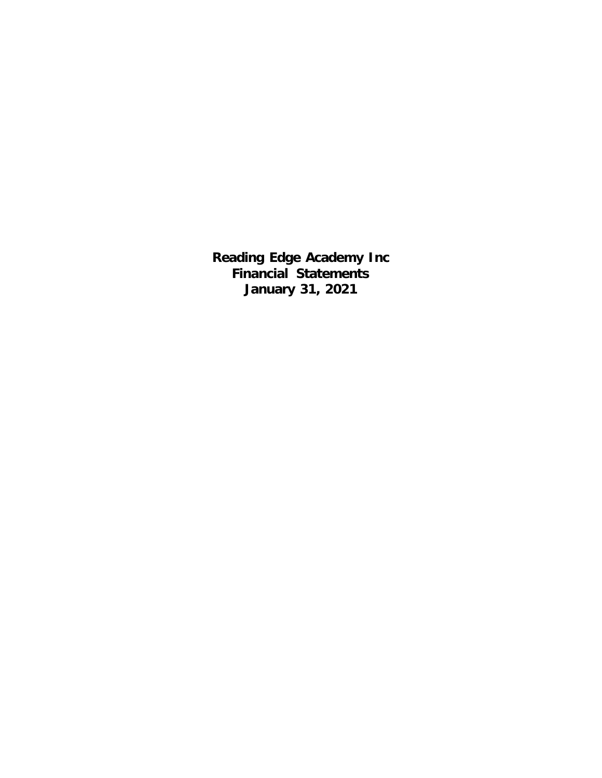**Reading Edge Academy Inc Financial Statements January 31, 2021**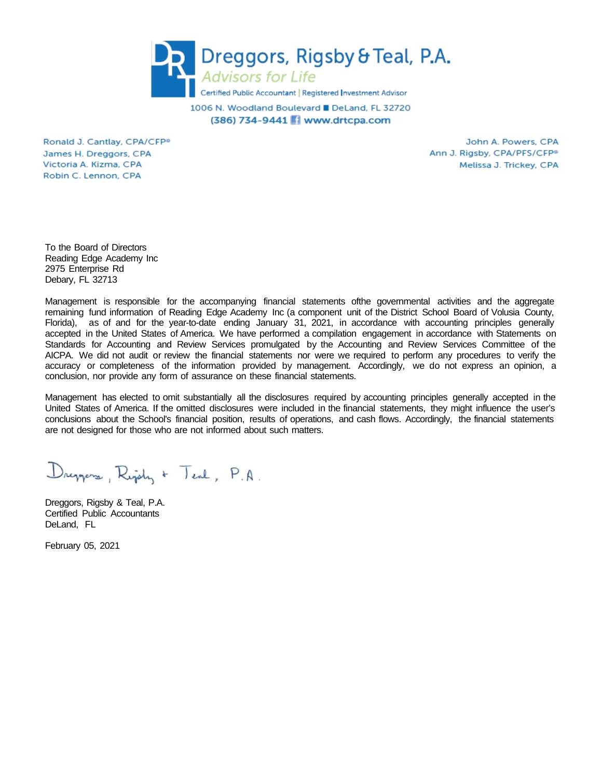

1006 N. Woodland Boulevard ■ DeLand, FL 32720 (386) 734-9441 Www.drtcpa.com

Ronald J. Cantlay, CPA/CFP® James H. Dreggors, CPA Victoria A. Kizma, CPA Robin C. Lennon, CPA

John A. Powers, CPA Ann J. Rigsby, CPA/PFS/CFP<sup>®</sup> Melissa J. Trickey, CPA

To the Board of Directors Reading Edge Academy Inc 2975 Enterprise Rd Debary, FL 32713

Management is responsible for the accompanying financial statements ofthe governmental activities and the aggregate remaining fund information of Reading Edge Academy Inc (a component unit of the District School Board of Volusia County, Florida), as of and for the year-to-date ending January 31, 2021, in accordance with accounting principles generally accepted in the United States of America. We have performed a compilation engagement in accordance with Statements on Standards for Accounting and Review Services promulgated by the Accounting and Review Services Committee of the AICPA. We did not audit or review the financial statements nor were we required to perform any procedures to verify the accuracy or completeness of the information provided by management. Accordingly, we do not express an opinion, a conclusion, nor provide any form of assurance on these financial statements.

Management has elected to omit substantially all the disclosures required by accounting principles generally accepted in the United States of America. If the omitted disclosures were included in the financial statements, they might influence the user's conclusions about the School's financial position, results of operations, and cash flows. Accordingly, the financial statements are not designed for those who are not informed about such matters.

Dreppers, Right + Teal, P.A.

Dreggors, Rigsby & Teal, P.A. Certified Public Accountants DeLand, FL

February 05, 2021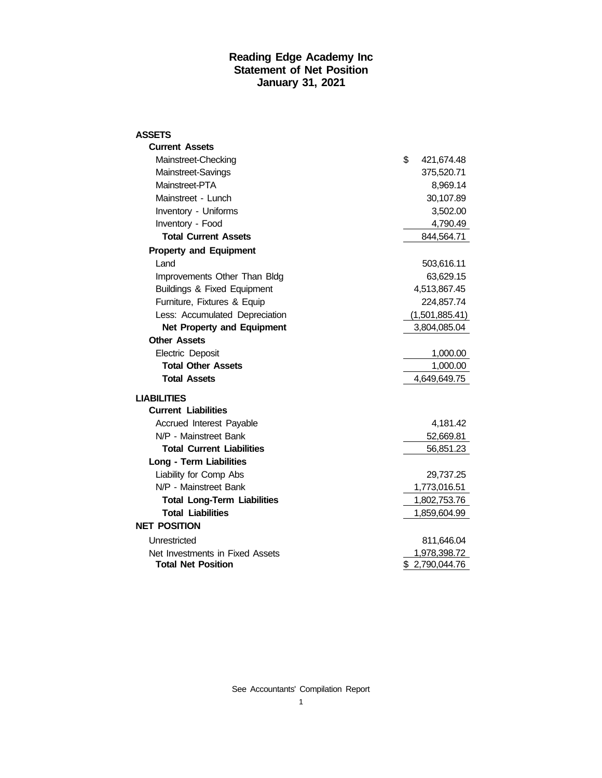#### **Reading Edge Academy Inc Statement of Net Position January 31, 2021**

| ASSETS                             |                  |
|------------------------------------|------------------|
| <b>Current Assets</b>              |                  |
| Mainstreet-Checking                | \$<br>421,674.48 |
| Mainstreet-Savings                 | 375,520.71       |
| Mainstreet-PTA                     | 8,969.14         |
| Mainstreet - Lunch                 | 30,107.89        |
| Inventory - Uniforms               | 3,502.00         |
| Inventory - Food                   | 4,790.49         |
| <b>Total Current Assets</b>        | 844,564.71       |
| <b>Property and Equipment</b>      |                  |
| Land                               | 503,616.11       |
| Improvements Other Than Bldg       | 63,629.15        |
| Buildings & Fixed Equipment        | 4,513,867.45     |
| Furniture, Fixtures & Equip        | 224,857.74       |
| Less: Accumulated Depreciation     | (1,501,885.41)   |
| <b>Net Property and Equipment</b>  | 3,804,085.04     |
| <b>Other Assets</b>                |                  |
| Electric Deposit                   | 1,000.00         |
| <b>Total Other Assets</b>          | 1,000.00         |
| <b>Total Assets</b>                | 4,649,649.75     |
| <b>LIABILITIES</b>                 |                  |
| <b>Current Liabilities</b>         |                  |
| Accrued Interest Payable           | 4,181.42         |
| N/P - Mainstreet Bank              | 52,669.81        |
| <b>Total Current Liabilities</b>   | 56,851.23        |
| Long - Term Liabilities            |                  |
| Liability for Comp Abs             | 29,737.25        |
| N/P - Mainstreet Bank              | 1,773,016.51     |
| <b>Total Long-Term Liabilities</b> | 1,802,753.76     |
| <b>Total Liabilities</b>           | 1,859,604.99     |
| <b>NET POSITION</b>                |                  |
| Unrestricted                       | 811,646.04       |
| Net Investments in Fixed Assets    | 1,978,398.72     |
| <b>Total Net Position</b>          | \$2,790,044.76   |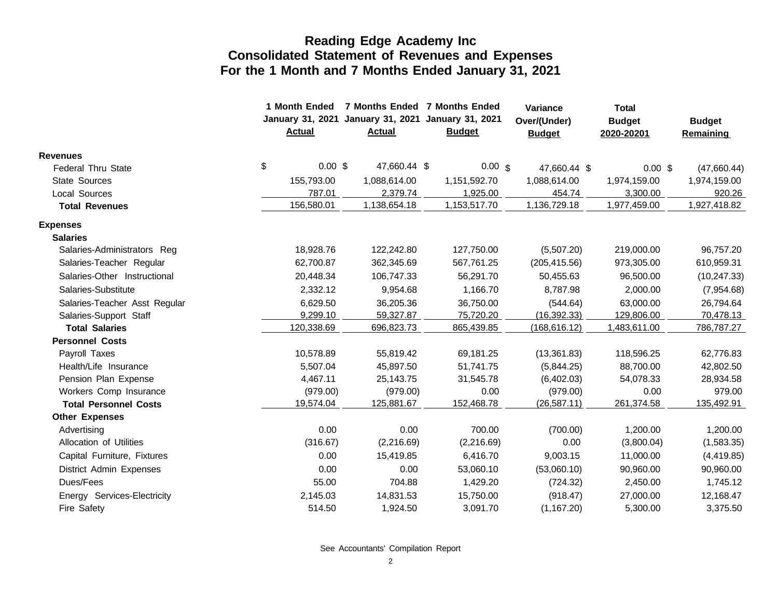|                               | 1 Month Ended<br>Actual | January 31, 2021 January 31, 2021 January 31, 2021<br><b>Actual</b> |  | 7 Months Ended 7 Months Ended<br><b>Budget</b> | Variance<br>Over/(Under)<br><b>Budget</b> |  | <b>Total</b><br><b>Budget</b><br>2020-20201 | <b>Budget</b><br><b>Remaining</b> |
|-------------------------------|-------------------------|---------------------------------------------------------------------|--|------------------------------------------------|-------------------------------------------|--|---------------------------------------------|-----------------------------------|
| <b>Revenues</b>               |                         |                                                                     |  |                                                |                                           |  |                                             |                                   |
| <b>Federal Thru State</b>     | \$<br>$0.00$ \$         | 47,660.44 \$                                                        |  | $0.00 \text{ s}$                               | 47,660.44 \$                              |  | $0.00$ \$                                   | (47,660.44)                       |
| <b>State Sources</b>          | 155,793.00              | 1,088,614.00                                                        |  | 1,151,592.70                                   | 1,088,614.00                              |  | 1,974,159.00                                | 1,974,159.00                      |
| Local Sources                 | 787.01                  | 2,379.74                                                            |  | 1,925.00                                       | 454.74                                    |  | 3,300.00                                    | 920.26                            |
| <b>Total Revenues</b>         | 156,580.01              | 1,138,654.18                                                        |  | 1,153,517.70                                   | 1,136,729.18                              |  | 1,977,459.00                                | 1,927,418.82                      |
| <b>Expenses</b>               |                         |                                                                     |  |                                                |                                           |  |                                             |                                   |
| <b>Salaries</b>               |                         |                                                                     |  |                                                |                                           |  |                                             |                                   |
| Salaries-Administrators Reg   | 18,928.76               | 122,242.80                                                          |  | 127,750.00                                     | (5,507.20)                                |  | 219,000.00                                  | 96,757.20                         |
| Salaries-Teacher Regular      | 62,700.87               | 362,345.69                                                          |  | 567,761.25                                     | (205, 415.56)                             |  | 973,305.00                                  | 610,959.31                        |
| Salaries-Other Instructional  | 20,448.34               | 106,747.33                                                          |  | 56,291.70                                      | 50,455.63                                 |  | 96,500.00                                   | (10, 247.33)                      |
| Salaries-Substitute           | 2,332.12                | 9,954.68                                                            |  | 1,166.70                                       | 8,787.98                                  |  | 2,000.00                                    | (7,954.68)                        |
| Salaries-Teacher Asst Regular | 6.629.50                | 36,205.36                                                           |  | 36,750.00                                      | (544.64)                                  |  | 63,000.00                                   | 26,794.64                         |
| Salaries-Support Staff        | 9,299.10                | 59,327.87                                                           |  | 75,720.20                                      | (16, 392.33)                              |  | 129,806.00                                  | 70,478.13                         |
| <b>Total Salaries</b>         | 120,338.69              | 696,823.73                                                          |  | 865,439.85                                     | (168, 616.12)                             |  | 1,483,611.00                                | 786,787.27                        |
| <b>Personnel Costs</b>        |                         |                                                                     |  |                                                |                                           |  |                                             |                                   |
| Payroll Taxes                 | 10,578.89               | 55,819.42                                                           |  | 69,181.25                                      | (13,361.83)                               |  | 118,596.25                                  | 62,776.83                         |
| Health/Life Insurance         | 5,507.04                | 45,897.50                                                           |  | 51,741.75                                      | (5,844.25)                                |  | 88,700.00                                   | 42,802.50                         |
| Pension Plan Expense          | 4,467.11                | 25,143.75                                                           |  | 31,545.78                                      | (6,402.03)                                |  | 54,078.33                                   | 28,934.58                         |
| Workers Comp Insurance        | (979.00)                | (979.00)                                                            |  | 0.00                                           | (979.00)                                  |  | 0.00                                        | 979.00                            |
| <b>Total Personnel Costs</b>  | 19,574.04               | 125,881.67                                                          |  | 152,468.78                                     | (26, 587.11)                              |  | 261,374.58                                  | 135,492.91                        |
| <b>Other Expenses</b>         |                         |                                                                     |  |                                                |                                           |  |                                             |                                   |
| Advertising                   | 0.00                    | 0.00                                                                |  | 700.00                                         | (700.00)                                  |  | 1,200.00                                    | 1,200.00                          |
| Allocation of Utilities       | (316.67)                | (2,216.69)                                                          |  | (2,216.69)                                     | 0.00                                      |  | (3,800.04)                                  | (1,583.35)                        |
| Capital Furniture, Fixtures   | 0.00                    | 15,419.85                                                           |  | 6,416.70                                       | 9,003.15                                  |  | 11,000.00                                   | (4,419.85)                        |
| District Admin Expenses       | 0.00                    | 0.00                                                                |  | 53,060.10                                      | (53,060.10)                               |  | 90,960.00                                   | 90,960.00                         |
| Dues/Fees                     | 55.00                   | 704.88                                                              |  | 1,429.20                                       | (724.32)                                  |  | 2,450.00                                    | 1,745.12                          |
| Energy Services-Electricity   | 2,145.03                | 14,831.53                                                           |  | 15,750.00                                      | (918.47)                                  |  | 27,000.00                                   | 12,168.47                         |
| Fire Safety                   | 514.50                  | 1,924.50                                                            |  | 3,091.70                                       | (1, 167.20)                               |  | 5,300.00                                    | 3,375.50                          |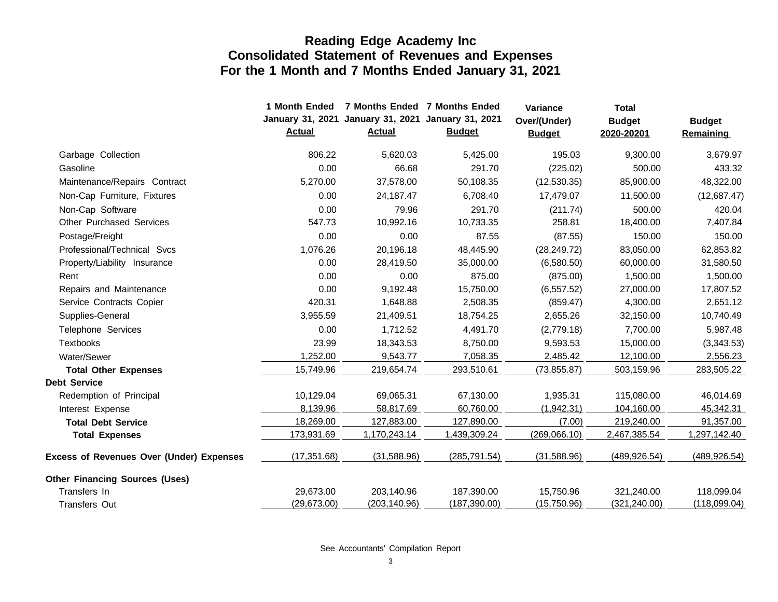|                                                 | 1 Month Ended<br><b>Actual</b> | January 31, 2021 January 31, 2021 January 31, 2021<br><b>Actual</b> | 7 Months Ended 7 Months Ended<br><b>Budget</b> | Variance<br>Over/(Under)<br><b>Budget</b> | <b>Total</b><br><b>Budget</b><br>2020-20201 | <b>Budget</b><br>Remaining |
|-------------------------------------------------|--------------------------------|---------------------------------------------------------------------|------------------------------------------------|-------------------------------------------|---------------------------------------------|----------------------------|
| Garbage Collection                              | 806.22                         | 5,620.03                                                            | 5,425.00                                       | 195.03                                    | 9,300.00                                    | 3,679.97                   |
| Gasoline                                        | 0.00                           | 66.68                                                               | 291.70                                         | (225.02)                                  | 500.00                                      | 433.32                     |
| Maintenance/Repairs Contract                    | 5,270.00                       | 37,578.00                                                           | 50,108.35                                      | (12,530.35)                               | 85,900.00                                   | 48,322.00                  |
| Non-Cap Furniture, Fixtures                     | 0.00                           | 24,187.47                                                           | 6,708.40                                       | 17,479.07                                 | 11,500.00                                   | (12,687.47)                |
| Non-Cap Software                                | 0.00                           | 79.96                                                               | 291.70                                         | (211.74)                                  | 500.00                                      | 420.04                     |
| <b>Other Purchased Services</b>                 | 547.73                         | 10,992.16                                                           | 10,733.35                                      | 258.81                                    | 18,400.00                                   | 7,407.84                   |
| Postage/Freight                                 | 0.00                           | 0.00                                                                | 87.55                                          | (87.55)                                   | 150.00                                      | 150.00                     |
| Professional/Technical Svcs                     | 1,076.26                       | 20,196.18                                                           | 48,445.90                                      | (28, 249.72)                              | 83,050.00                                   | 62,853.82                  |
| Property/Liability Insurance                    | 0.00                           | 28,419.50                                                           | 35,000.00                                      | (6,580.50)                                | 60,000.00                                   | 31,580.50                  |
| Rent                                            | 0.00                           | 0.00                                                                | 875.00                                         | (875.00)                                  | 1,500.00                                    | 1,500.00                   |
| Repairs and Maintenance                         | 0.00                           | 9,192.48                                                            | 15,750.00                                      | (6, 557.52)                               | 27,000.00                                   | 17,807.52                  |
| Service Contracts Copier                        | 420.31                         | 1,648.88                                                            | 2,508.35                                       | (859.47)                                  | 4,300.00                                    | 2,651.12                   |
| Supplies-General                                | 3,955.59                       | 21,409.51                                                           | 18,754.25                                      | 2,655.26                                  | 32,150.00                                   | 10,740.49                  |
| Telephone Services                              | 0.00                           | 1,712.52                                                            | 4,491.70                                       | (2,779.18)                                | 7,700.00                                    | 5,987.48                   |
| <b>Textbooks</b>                                | 23.99                          | 18,343.53                                                           | 8,750.00                                       | 9,593.53                                  | 15,000.00                                   | (3,343.53)                 |
| Water/Sewer                                     | 1,252.00                       | 9,543.77                                                            | 7,058.35                                       | 2,485.42                                  | 12,100.00                                   | 2,556.23                   |
| <b>Total Other Expenses</b>                     | 15,749.96                      | 219,654.74                                                          | 293,510.61                                     | (73, 855.87)                              | 503,159.96                                  | 283,505.22                 |
| <b>Debt Service</b>                             |                                |                                                                     |                                                |                                           |                                             |                            |
| Redemption of Principal                         | 10,129.04                      | 69,065.31                                                           | 67,130.00                                      | 1,935.31                                  | 115,080.00                                  | 46,014.69                  |
| Interest Expense                                | 8,139.96                       | 58,817.69                                                           | 60,760.00                                      | (1,942.31)                                | 104,160.00                                  | 45,342.31                  |
| <b>Total Debt Service</b>                       | 18,269.00                      | 127,883.00                                                          | 127,890.00                                     | (7.00)                                    | 219,240.00                                  | 91,357.00                  |
| <b>Total Expenses</b>                           | 173,931.69                     | 1,170,243.14                                                        | 1,439,309.24                                   | (269,066.10)                              | 2,467,385.54                                | 1,297,142.40               |
| <b>Excess of Revenues Over (Under) Expenses</b> | (17, 351.68)                   | (31,588.96)                                                         | (285, 791.54)                                  | (31,588.96)                               | (489, 926.54)                               | (489, 926.54)              |
| <b>Other Financing Sources (Uses)</b>           |                                |                                                                     |                                                |                                           |                                             |                            |
| Transfers In                                    | 29,673.00                      | 203,140.96                                                          | 187,390.00                                     | 15,750.96                                 | 321,240.00                                  | 118,099.04                 |
| <b>Transfers Out</b>                            | (29,673.00)                    | (203, 140.96)                                                       | (187, 390.00)                                  | (15,750.96)                               | (321, 240.00)                               | (118,099.04)               |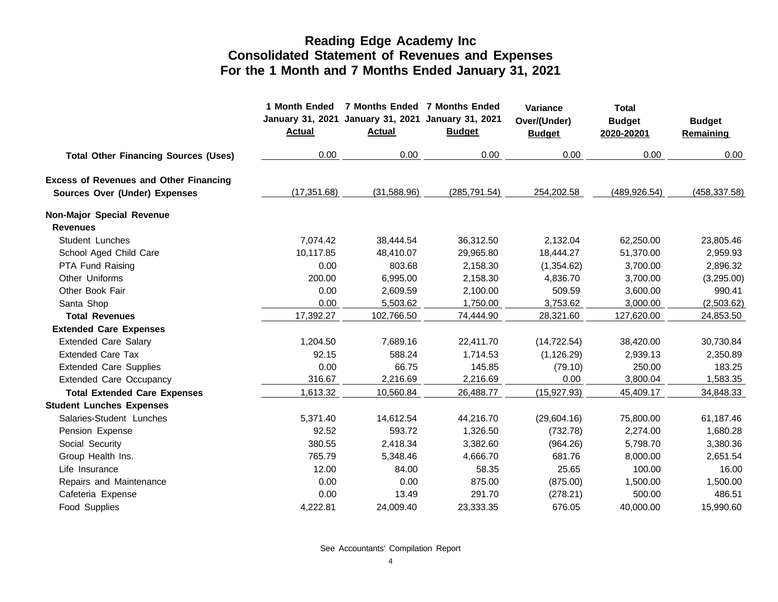|                                               | 1 Month Ended<br><b>Actual</b> | 7 Months Ended 7 Months Ended<br>January 31, 2021 January 31, 2021 January 31, 2021<br><b>Actual</b> | <b>Budget</b> | Variance<br>Over/(Under)<br><b>Budget</b> | <b>Total</b><br><b>Budget</b><br>2020-20201 | <b>Budget</b><br>Remaining |
|-----------------------------------------------|--------------------------------|------------------------------------------------------------------------------------------------------|---------------|-------------------------------------------|---------------------------------------------|----------------------------|
| <b>Total Other Financing Sources (Uses)</b>   | 0.00                           | 0.00                                                                                                 | 0.00          | 0.00                                      | 0.00                                        | 0.00                       |
| <b>Excess of Revenues and Other Financing</b> |                                |                                                                                                      |               |                                           |                                             |                            |
| Sources Over (Under) Expenses                 | (17, 351.68)                   | (31,588.96)                                                                                          | (285, 791.54) | 254,202.58                                | (489, 926.54)                               | (458, 337.58)              |
| Non-Major Special Revenue                     |                                |                                                                                                      |               |                                           |                                             |                            |
| <b>Revenues</b>                               |                                |                                                                                                      |               |                                           |                                             |                            |
| Student Lunches                               | 7,074.42                       | 38,444.54                                                                                            | 36,312.50     | 2,132.04                                  | 62,250.00                                   | 23,805.46                  |
| School Aged Child Care                        | 10,117.85                      | 48,410.07                                                                                            | 29,965.80     | 18,444.27                                 | 51,370.00                                   | 2,959.93                   |
| PTA Fund Raising                              | 0.00                           | 803.68                                                                                               | 2,158.30      | (1,354.62)                                | 3,700.00                                    | 2,896.32                   |
| Other Uniforms                                | 200.00                         | 6,995.00                                                                                             | 2,158.30      | 4,836.70                                  | 3,700.00                                    | (3,295.00)                 |
| Other Book Fair                               | 0.00                           | 2,609.59                                                                                             | 2,100.00      | 509.59                                    | 3,600.00                                    | 990.41                     |
| Santa Shop                                    | 0.00                           | 5,503.62                                                                                             | 1,750.00      | 3,753.62                                  | 3,000.00                                    | (2,503.62)                 |
| <b>Total Revenues</b>                         | 17,392.27                      | 102,766.50                                                                                           | 74,444.90     | 28,321.60                                 | 127,620.00                                  | 24,853.50                  |
| <b>Extended Care Expenses</b>                 |                                |                                                                                                      |               |                                           |                                             |                            |
| <b>Extended Care Salary</b>                   | 1,204.50                       | 7,689.16                                                                                             | 22,411.70     | (14, 722.54)                              | 38,420.00                                   | 30,730.84                  |
| <b>Extended Care Tax</b>                      | 92.15                          | 588.24                                                                                               | 1,714.53      | (1, 126.29)                               | 2,939.13                                    | 2,350.89                   |
| <b>Extended Care Supplies</b>                 | 0.00                           | 66.75                                                                                                | 145.85        | (79.10)                                   | 250.00                                      | 183.25                     |
| <b>Extended Care Occupancy</b>                | 316.67                         | 2,216.69                                                                                             | 2,216.69      | 0.00                                      | 3,800.04                                    | 1,583.35                   |
| <b>Total Extended Care Expenses</b>           | 1,613.32                       | 10,560.84                                                                                            | 26,488.77     | (15, 927.93)                              | 45,409.17                                   | 34,848.33                  |
| <b>Student Lunches Expenses</b>               |                                |                                                                                                      |               |                                           |                                             |                            |
| Salaries-Student Lunches                      | 5,371.40                       | 14,612.54                                                                                            | 44,216.70     | (29,604.16)                               | 75,800.00                                   | 61,187.46                  |
| Pension Expense                               | 92.52                          | 593.72                                                                                               | 1,326.50      | (732.78)                                  | 2,274.00                                    | 1,680.28                   |
| Social Security                               | 380.55                         | 2,418.34                                                                                             | 3,382.60      | (964.26)                                  | 5,798.70                                    | 3,380.36                   |
| Group Health Ins.                             | 765.79                         | 5,348.46                                                                                             | 4,666.70      | 681.76                                    | 8,000.00                                    | 2,651.54                   |
| Life Insurance                                | 12.00                          | 84.00                                                                                                | 58.35         | 25.65                                     | 100.00                                      | 16.00                      |
| Repairs and Maintenance                       | 0.00                           | 0.00                                                                                                 | 875.00        | (875.00)                                  | 1,500.00                                    | 1,500.00                   |
| Cafeteria Expense                             | 0.00                           | 13.49                                                                                                | 291.70        | (278.21)                                  | 500.00                                      | 486.51                     |
| Food Supplies                                 | 4,222.81                       | 24,009.40                                                                                            | 23,333.35     | 676.05                                    | 40,000.00                                   | 15,990.60                  |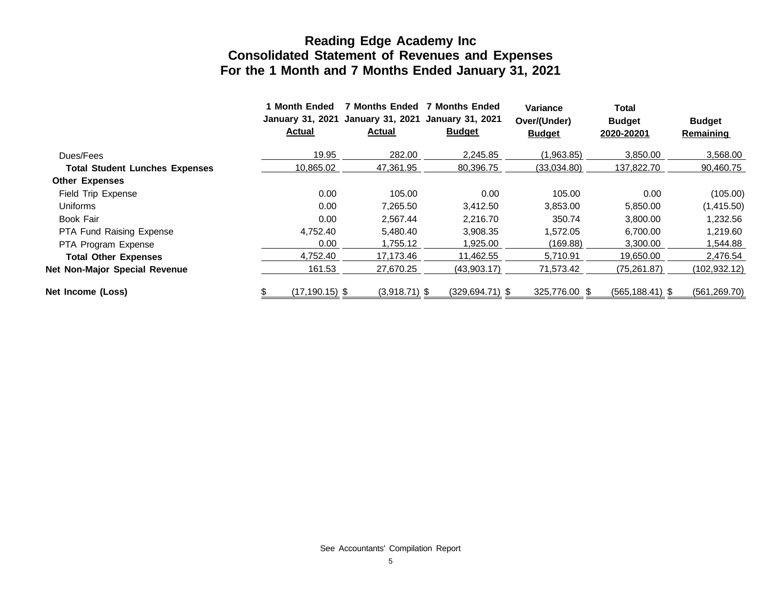|                                       | <b>Month Ended</b><br><b>January 31, 2021</b><br><b>Actual</b> | <b>7 Months Ended</b><br><b>January 31, 2021</b><br><b>Actual</b> | <b>7 Months Ended</b><br><b>January 31, 2021</b><br><b>Budget</b> | Variance<br>Over/(Under)<br><b>Budget</b> | Total<br><b>Budget</b><br>2020-20201 | <b>Budget</b><br><b>Remaining</b> |
|---------------------------------------|----------------------------------------------------------------|-------------------------------------------------------------------|-------------------------------------------------------------------|-------------------------------------------|--------------------------------------|-----------------------------------|
| Dues/Fees                             | 19.95                                                          | 282.00                                                            | 2,245.85                                                          | (1,963.85)                                | 3,850.00                             | 3,568.00                          |
| <b>Total Student Lunches Expenses</b> | 10.865.02                                                      | 47,361.95                                                         | 80,396.75                                                         | (33,034.80)                               | 137,822.70                           | 90,460.75                         |
| <b>Other Expenses</b>                 |                                                                |                                                                   |                                                                   |                                           |                                      |                                   |
| Field Trip Expense                    | 0.00                                                           | 105.00                                                            | 0.00                                                              | 105.00                                    | 0.00                                 | (105.00)                          |
| Uniforms                              | 0.00                                                           | 7,265.50                                                          | 3,412.50                                                          | 3,853.00                                  | 5,850.00                             | (1,415.50)                        |
| Book Fair                             | 0.00                                                           | 2.567.44                                                          | 2.216.70                                                          | 350.74                                    | 3,800.00                             | 1,232.56                          |
| <b>PTA Fund Raising Expense</b>       | 4.752.40                                                       | 5,480.40                                                          | 3,908.35                                                          | 1.572.05                                  | 6,700.00                             | 1,219.60                          |
| PTA Program Expense                   | 0.00                                                           | 1,755.12                                                          | 1,925.00                                                          | (169.88)                                  | 3,300.00                             | 1,544.88                          |
| <b>Total Other Expenses</b>           | 4.752.40                                                       | 17,173.46                                                         | 11,462.55                                                         | 5,710.91                                  | 19,650.00                            | 2,476.54                          |
| Net Non-Major Special Revenue         | 161.53                                                         | 27,670.25                                                         | (43,903.17)                                                       | 71,573.42                                 | (75, 261.87)                         | (102, 932.12)                     |
| Net Income (Loss)                     | $(17, 190.15)$ \$                                              | $(3,918.71)$ \$                                                   | $(329, 694.71)$ \$                                                | 325,776.00 \$                             | $(565, 188.41)$ \$                   | (561, 269.70)                     |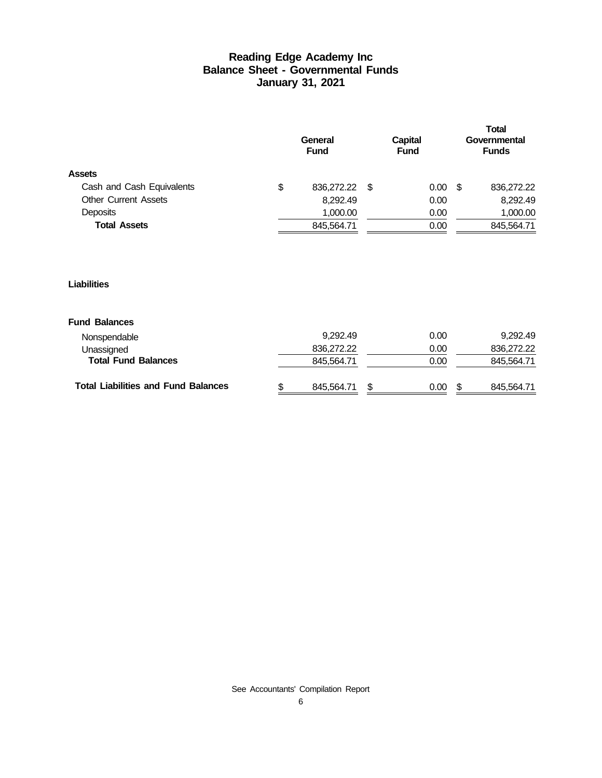#### **Reading Edge Academy Inc Balance Sheet - Governmental Funds January 31, 2021**

|                             | General<br><b>Fund</b> | Capital<br><b>Fund</b> |                   | <b>Total</b><br>Governmental<br><b>Funds</b> |            |  |  |  |
|-----------------------------|------------------------|------------------------|-------------------|----------------------------------------------|------------|--|--|--|
| <b>Assets</b>               |                        |                        |                   |                                              |            |  |  |  |
| Cash and Cash Equivalents   | \$<br>836,272.22 \$    |                        | 0.00 <sub>1</sub> | -S                                           | 836,272.22 |  |  |  |
| <b>Other Current Assets</b> | 8.292.49               |                        | 0.00              |                                              | 8,292.49   |  |  |  |
| Deposits                    | 1,000.00               |                        | 0.00              |                                              | 1,000.00   |  |  |  |
| <b>Total Assets</b>         | 845,564.71             |                        | 0.00              |                                              | 845,564.71 |  |  |  |
|                             |                        |                        |                   |                                              |            |  |  |  |

#### **Liabilities**

#### **Fund Balances**

| <b>Total Liabilities and Fund Balances</b> | 845.564.71 | \$. | 0.00 | 845.564.71 |
|--------------------------------------------|------------|-----|------|------------|
| <b>Total Fund Balances</b>                 | 845,564.71 |     | 0.00 | 845,564.71 |
| Unassigned                                 | 836.272.22 |     | 0.00 | 836.272.22 |
| Nonspendable                               | 9.292.49   |     | 0.00 | 9.292.49   |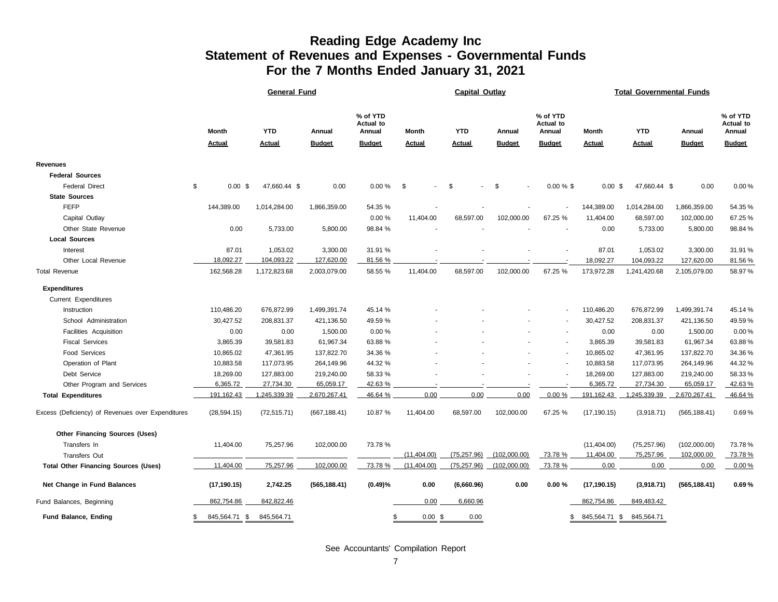#### **Reading Edge Academy Inc Statement of Revenues and Expenses - Governmental Funds For the 7 Months Ended January 31, 2021**

|                                                   |                 | <b>General Fund</b> |               | Capital Outlay                         |               |               |               |                                        | <b>Total Governmental Funds</b> |               |               |                                 |  |  |
|---------------------------------------------------|-----------------|---------------------|---------------|----------------------------------------|---------------|---------------|---------------|----------------------------------------|---------------------------------|---------------|---------------|---------------------------------|--|--|
|                                                   | <b>Month</b>    | <b>YTD</b>          | Annual        | % of YTD<br><b>Actual to</b><br>Annual | <b>Month</b>  | <b>YTD</b>    | Annual        | % of YTD<br><b>Actual to</b><br>Annual | Month                           | <b>YTD</b>    | Annual        | % of YTD<br>Actual to<br>Annual |  |  |
|                                                   | <b>Actual</b>   | <b>Actual</b>       | <b>Budget</b> | <b>Budget</b>                          | <b>Actual</b> | <b>Actual</b> | <b>Budget</b> | <b>Budget</b>                          | <b>Actual</b>                   | <b>Actual</b> | <b>Budget</b> | <b>Budget</b>                   |  |  |
| <b>Revenues</b>                                   |                 |                     |               |                                        |               |               |               |                                        |                                 |               |               |                                 |  |  |
| <b>Federal Sources</b>                            |                 |                     |               |                                        |               |               |               |                                        |                                 |               |               |                                 |  |  |
| <b>Federal Direct</b>                             | \$<br>$0.00$ \$ | 47,660.44 \$        | 0.00          | 0.00%                                  | \$<br>٠       | \$            | \$            | $0.00 \%$ \$                           | $0.00 \text{ }$ \$              | 47,660.44 \$  | 0.00          | 0.00%                           |  |  |
| <b>State Sources</b>                              |                 |                     |               |                                        |               |               |               |                                        |                                 |               |               |                                 |  |  |
| <b>FEFP</b>                                       | 144,389.00      | 1,014,284.00        | 1,866,359.00  | 54.35 %                                |               |               |               |                                        | 144,389.00                      | 1,014,284.00  | 1,866,359.00  | 54.35%                          |  |  |
| Capital Outlay                                    |                 |                     |               | 0.00%                                  | 11,404.00     | 68,597.00     | 102,000.00    | 67.25 %                                | 11,404.00                       | 68,597.00     | 102,000.00    | 67.25%                          |  |  |
| Other State Revenue                               | 0.00            | 5,733.00            | 5,800.00      | 98.84 %                                |               |               |               |                                        | 0.00                            | 5,733.00      | 5,800.00      | 98.84%                          |  |  |
| <b>Local Sources</b>                              |                 |                     |               |                                        |               |               |               |                                        |                                 |               |               |                                 |  |  |
| Interest                                          | 87.01           | 1,053.02            | 3,300.00      | 31.91 %                                |               |               |               |                                        | 87.01                           | 1,053.02      | 3,300.00      | 31.91%                          |  |  |
| Other Local Revenue                               | 18,092.27       | 104,093.22          | 127,620.00    | 81.56 %                                |               |               |               |                                        | 18,092.27                       | 104,093.22    | 127,620.00    | 81.56%                          |  |  |
| <b>Total Revenue</b>                              | 162,568.28      | 1,172,823.68        | 2,003,079.00  | 58.55 %                                | 11,404.00     | 68,597.00     | 102,000.00    | 67.25 %                                | 173,972.28                      | 1,241,420.68  | 2,105,079.00  | 58.97%                          |  |  |
| <b>Expenditures</b>                               |                 |                     |               |                                        |               |               |               |                                        |                                 |               |               |                                 |  |  |
| Current Expenditures                              |                 |                     |               |                                        |               |               |               |                                        |                                 |               |               |                                 |  |  |
| Instruction                                       | 110,486.20      | 676,872.99          | 1,499,391.74  | 45.14 %                                |               |               |               | $\blacksquare$                         | 110,486.20                      | 676,872.99    | 1,499,391.74  | 45.14%                          |  |  |
| School Administration                             | 30,427.52       | 208,831.37          | 421,136.50    | 49.59 %                                |               |               |               |                                        | 30,427.52                       | 208,831.37    | 421,136.50    | 49.59%                          |  |  |
| Facilities Acquisition                            | 0.00            | 0.00                | 1,500.00      | 0.00%                                  |               |               |               |                                        | 0.00                            | 0.00          | 1,500.00      | 0.00%                           |  |  |
| <b>Fiscal Services</b>                            | 3,865.39        | 39,581.83           | 61,967.34     | 63.88 %                                |               |               |               |                                        | 3,865.39                        | 39,581.83     | 61,967.34     | 63.88%                          |  |  |
| Food Services                                     | 10,865.02       | 47,361.95           | 137,822.70    | 34.36 %                                |               |               |               |                                        | 10,865.02                       | 47,361.95     | 137,822.70    | 34.36%                          |  |  |
| Operation of Plant                                | 10,883.58       | 117,073.95          | 264,149.96    | 44.32 %                                |               |               |               |                                        | 10,883.58                       | 117,073.95    | 264,149.96    | 44.32%                          |  |  |
| Debt Service                                      | 18,269.00       | 127,883.00          | 219,240.00    | 58.33 %                                |               |               |               |                                        | 18,269.00                       | 127,883.00    | 219,240.00    | 58.33%                          |  |  |
| Other Program and Services                        | 6,365.72        | 27,734.30           | 65,059.17     | 42.63%                                 |               |               |               |                                        | 6,365.72                        | 27,734.30     | 65,059.17     | 42.63%                          |  |  |
| <b>Total Expenditures</b>                         | 191,162.43      | 1,245,339.39        | 2,670,267.41  | 46.64 %                                | 0.00          | 0.00          | 0.00          | 0.00%                                  | 191,162.43                      | 1,245,339.39  | 2,670,267.41  | 46.64%                          |  |  |
| Excess (Deficiency) of Revenues over Expenditures | (28, 594.15)    | (72, 515.71)        | (667, 188.41) | 10.87 %                                | 11,404.00     | 68,597.00     | 102,000.00    | 67.25 %                                | (17, 190.15)                    | (3,918.71)    | (565, 188.41) | 0.69%                           |  |  |
| <b>Other Financing Sources (Uses)</b>             |                 |                     |               |                                        |               |               |               |                                        |                                 |               |               |                                 |  |  |
| Transfers In                                      | 11,404.00       | 75,257.96           | 102,000.00    | 73.78 %                                |               |               |               |                                        | (11,404.00)                     | (75, 257.96)  | (102,000.00)  | 73.78%                          |  |  |
| <b>Transfers Out</b>                              |                 |                     |               |                                        | (11,404.00)   | (75, 257.96)  | (102,000.00)  | 73.78%                                 | 11,404.00                       | 75,257.96     | 102,000.00    | 73.78%                          |  |  |
| <b>Total Other Financing Sources (Uses)</b>       | 11,404.00       | 75,257.96           | 102,000.00    | 73.78 %                                | (11,404.00)   | (75, 257.96)  | (102,000.00)  | 73.78 %                                | 0.00                            | 0.00          | 0.00          | 0.00%                           |  |  |
| Net Change in Fund Balances                       | (17, 190.15)    | 2,742.25            | (565, 188.41) | $(0.49)\%$                             | 0.00          | (6,660.96)    | 0.00          | 0.00%                                  | (17, 190.15)                    | (3,918.71)    | (565, 188.41) | 0.69%                           |  |  |
| Fund Balances, Beginning                          | 862,754.86      | 842,822.46          |               |                                        | 0.00          | 6,660.96      |               |                                        | 862,754.86                      | 849,483.42    |               |                                 |  |  |
| <b>Fund Balance, Ending</b>                       | 845,564.71 \$   | 845,564.71          |               | \$                                     | $0.00$ \$     | 0.00          |               | \$.                                    | 845,564.71 \$                   | 845,564.71    |               |                                 |  |  |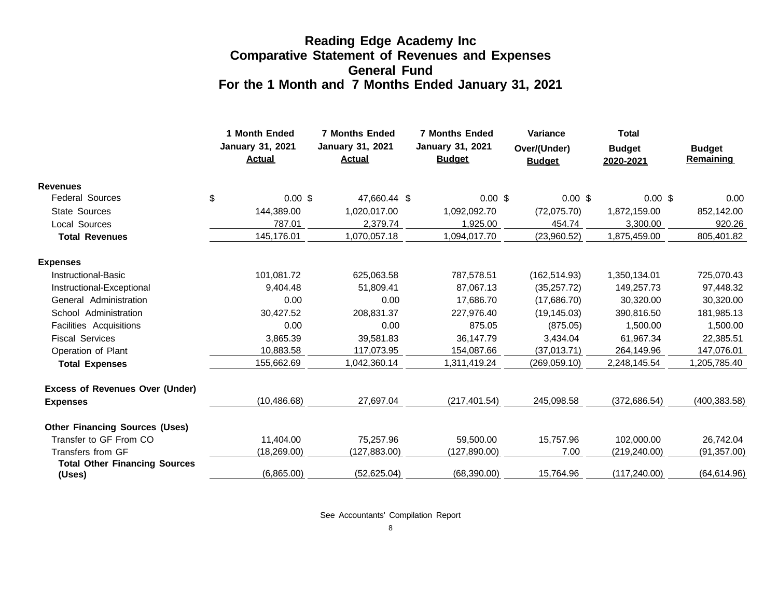#### **Reading Edge Academy Inc Comparative Statement of Revenues and Expenses General Fund For the 1 Month and 7 Months Ended January 31, 2021**

|                                                | 1 Month Ended<br><b>January 31, 2021</b><br><b>Actual</b> | <b>7 Months Ended</b><br>January 31, 2021<br><b>Actual</b> | <b>7 Months Ended</b><br><b>January 31, 2021</b><br><b>Budget</b> | Variance<br>Over/(Under)<br><b>Budget</b> | <b>Total</b><br><b>Budget</b><br>2020-2021 | <b>Budget</b><br>Remaining |
|------------------------------------------------|-----------------------------------------------------------|------------------------------------------------------------|-------------------------------------------------------------------|-------------------------------------------|--------------------------------------------|----------------------------|
| <b>Revenues</b>                                |                                                           |                                                            |                                                                   |                                           |                                            |                            |
| <b>Federal Sources</b>                         | \$<br>$0.00$ \$                                           | 47,660.44 \$                                               | $0.00$ \$                                                         | 0.00~\$                                   | $0.00$ \$                                  | 0.00                       |
| <b>State Sources</b>                           | 144,389.00                                                | 1,020,017.00                                               | 1,092,092.70                                                      | (72,075.70)                               | 1,872,159.00                               | 852,142.00                 |
| <b>Local Sources</b>                           | 787.01                                                    | 2,379.74                                                   | 1,925.00                                                          | 454.74                                    | 3,300.00                                   | 920.26                     |
| <b>Total Revenues</b>                          | 145,176.01                                                | 1,070,057.18                                               | 1,094,017.70                                                      | (23,960.52)                               | 1,875,459.00                               | 805,401.82                 |
| <b>Expenses</b>                                |                                                           |                                                            |                                                                   |                                           |                                            |                            |
| Instructional-Basic                            | 101,081.72                                                | 625,063.58                                                 | 787,578.51                                                        | (162, 514.93)                             | 1,350,134.01                               | 725,070.43                 |
| Instructional-Exceptional                      | 9,404.48                                                  | 51.809.41                                                  | 87,067.13                                                         | (35, 257.72)                              | 149,257.73                                 | 97,448.32                  |
| General Administration                         | 0.00                                                      | 0.00                                                       | 17,686.70                                                         | (17,686.70)                               | 30,320.00                                  | 30,320.00                  |
| School Administration                          | 30,427.52                                                 | 208,831.37                                                 | 227,976.40                                                        | (19, 145.03)                              | 390,816.50                                 | 181,985.13                 |
| Facilities Acquisitions                        | 0.00                                                      | 0.00                                                       | 875.05                                                            | (875.05)                                  | 1,500.00                                   | 1,500.00                   |
| <b>Fiscal Services</b>                         | 3,865.39                                                  | 39,581.83                                                  | 36,147.79                                                         | 3,434.04                                  | 61,967.34                                  | 22,385.51                  |
| Operation of Plant                             | 10,883.58                                                 | 117,073.95                                                 | 154,087.66                                                        | (37,013.71)                               | 264,149.96                                 | 147,076.01                 |
| <b>Total Expenses</b>                          | 155,662.69                                                | 1,042,360.14                                               | 1,311,419.24                                                      | (269, 059.10)                             | 2,248,145.54                               | 1,205,785.40               |
| <b>Excess of Revenues Over (Under)</b>         |                                                           |                                                            |                                                                   |                                           |                                            |                            |
| <b>Expenses</b>                                | (10, 486.68)                                              | 27,697.04                                                  | (217, 401.54)                                                     | 245,098.58                                | (372, 686.54)                              | (400, 383.58)              |
| <b>Other Financing Sources (Uses)</b>          |                                                           |                                                            |                                                                   |                                           |                                            |                            |
| Transfer to GF From CO                         | 11,404.00                                                 | 75,257.96                                                  | 59,500.00                                                         | 15,757.96                                 | 102,000.00                                 | 26,742.04                  |
| Transfers from GF                              | (18, 269.00)                                              | (127, 883.00)                                              | (127, 890.00)                                                     | 7.00                                      | (219, 240.00)                              | (91, 357.00)               |
| <b>Total Other Financing Sources</b><br>(Uses) | (6,865.00)                                                | (52,625.04)                                                | (68, 390.00)                                                      | 15,764.96                                 | (117, 240.00)                              | (64, 614.96)               |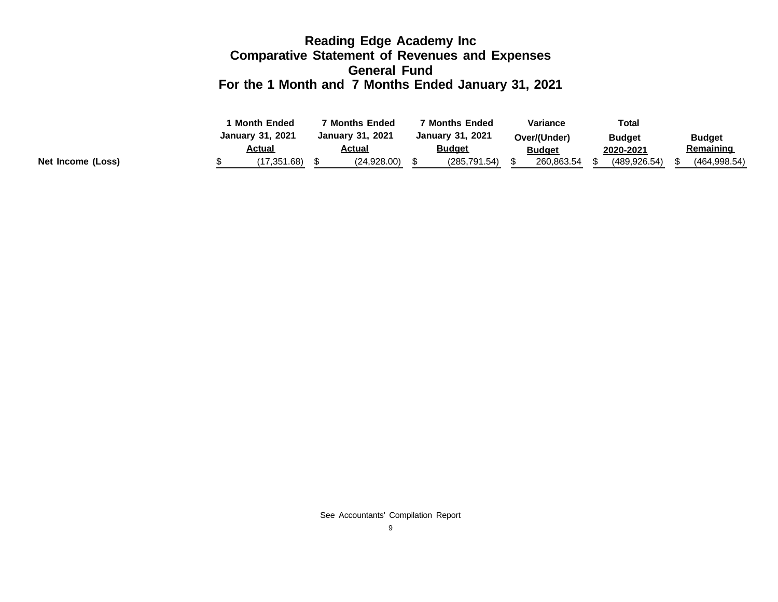#### **Reading Edge Academy Inc Comparative Statement of Revenues and Expenses General Fund For the 1 Month and 7 Months Ended January 31, 2021**

|                   |  | <b>Month Ended</b>      |  | ' Months Ended          |  | ' Months Ended   |  |               | <b>Variance</b> | <b>Total</b> |               |  |
|-------------------|--|-------------------------|--|-------------------------|--|------------------|--|---------------|-----------------|--------------|---------------|--|
|                   |  | <b>January 31, 2021</b> |  | <b>January 31, 2021</b> |  | January 31, 2021 |  | Over/(Under)  | <b>Budget</b>   |              | <b>Budget</b> |  |
|                   |  | Actual                  |  | <u>Actual</u>           |  | <u>Budget</u>    |  | <b>Budget</b> | 2020-2021       |              | Remaining     |  |
| Net Income (Loss) |  | (17,351.68)             |  | (24,928.00)             |  | (285, 791.54)    |  | 260,863.54    | (489.926.54)    |              | (464, 998.54) |  |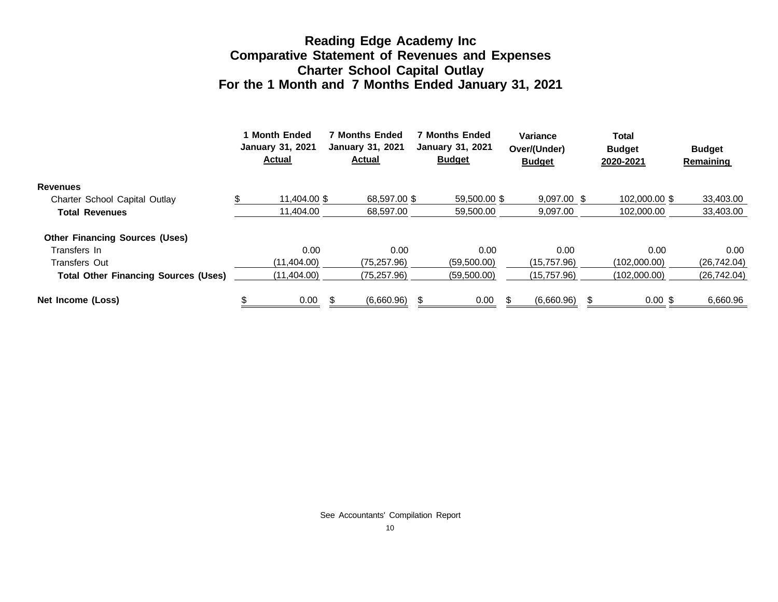#### **Reading Edge Academy Inc Comparative Statement of Revenues and Expenses Charter School Capital Outlay For the 1 Month and 7 Months Ended January 31, 2021**

|                                             | 1 Month Ended<br><b>January 31, 2021</b><br><b>Actual</b> |   | <b>7 Months Ended</b><br><b>January 31, 2021</b><br><b>Actual</b> |  | <b>7 Months Ended</b><br><b>January 31, 2021</b><br><b>Budget</b> |  | Variance<br>Over/(Under)<br><b>Budget</b> |    | Total<br><b>Budget</b><br>2020-2021 | <b>Budget</b><br>Remaining |
|---------------------------------------------|-----------------------------------------------------------|---|-------------------------------------------------------------------|--|-------------------------------------------------------------------|--|-------------------------------------------|----|-------------------------------------|----------------------------|
| <b>Revenues</b>                             |                                                           |   |                                                                   |  |                                                                   |  |                                           |    |                                     |                            |
| Charter School Capital Outlay               | 11.404.00 \$                                              |   | 68.597.00 \$                                                      |  | 59,500,00 \$                                                      |  | $9.097.00$ \$                             |    | 102,000,00 \$                       | 33,403.00                  |
| <b>Total Revenues</b>                       | 11.404.00                                                 |   | 68.597.00                                                         |  | 59,500.00                                                         |  | 9,097.00                                  |    | 102.000.00                          | 33,403.00                  |
| <b>Other Financing Sources (Uses)</b>       |                                                           |   |                                                                   |  |                                                                   |  |                                           |    |                                     |                            |
| Transfers In                                | 0.00                                                      |   | 0.00                                                              |  | 0.00                                                              |  | 0.00                                      |    | 0.00                                | $0.00\,$                   |
| <b>Transfers Out</b>                        | (11,404.00)                                               |   | (75, 257.96)                                                      |  | (59,500.00)                                                       |  | (15,757.96)                               |    | (102.000.00)                        | (26, 742.04)               |
| <b>Total Other Financing Sources (Uses)</b> | (11,404.00)                                               |   | (75, 257.96)                                                      |  | (59,500.00)                                                       |  | (15, 757.96)                              |    | (102,000.00)                        | (26, 742.04)               |
| Net Income (Loss)                           | 0.00                                                      | S | (6,660.96)                                                        |  | 0.00                                                              |  | (6,660.96)                                | \$ | $0.00$ \$                           | 6,660.96                   |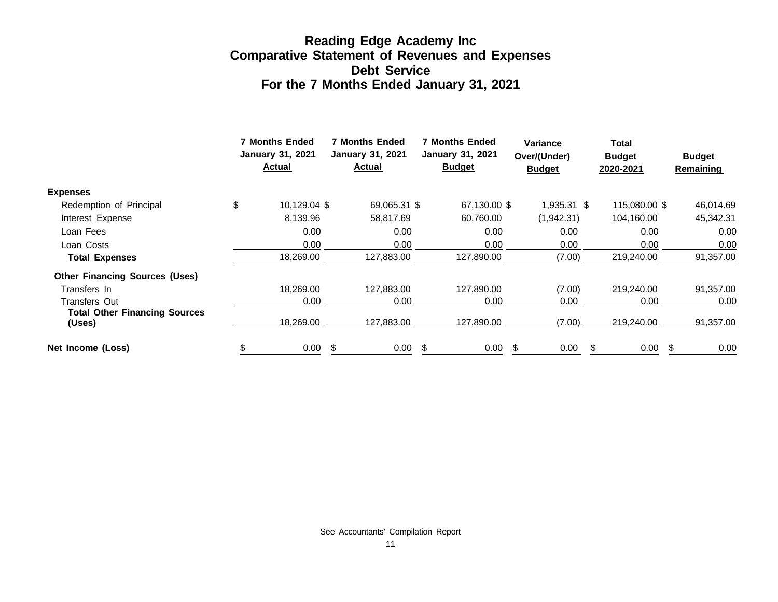#### **Reading Edge Academy Inc Comparative Statement of Revenues and Expenses Debt Service For the 7 Months Ended January 31, 2021**

|                                                | <b>7 Months Ended</b><br>January 31, 2021<br><b>Actual</b> |              | <b>7 Months Ended</b><br>January 31, 2021<br><b>Actual</b> |    | <b>7 Months Ended</b><br><b>January 31, 2021</b><br><b>Budget</b> |   | <b>Variance</b><br>Over/(Under)<br><b>Budget</b> |   | Total<br><b>Budget</b><br>2020-2021 |  | <b>Budget</b><br><b>Remaining</b> |
|------------------------------------------------|------------------------------------------------------------|--------------|------------------------------------------------------------|----|-------------------------------------------------------------------|---|--------------------------------------------------|---|-------------------------------------|--|-----------------------------------|
| <b>Expenses</b>                                |                                                            |              |                                                            |    |                                                                   |   |                                                  |   |                                     |  |                                   |
| Redemption of Principal                        | \$                                                         | 10,129.04 \$ | 69,065.31 \$                                               |    | 67,130.00 \$                                                      |   | 1,935.31 \$                                      |   | 115,080.00 \$                       |  | 46,014.69                         |
| Interest Expense                               |                                                            | 8,139.96     | 58,817.69                                                  |    | 60,760.00                                                         |   | (1,942.31)                                       |   | 104,160.00                          |  | 45,342.31                         |
| Loan Fees                                      |                                                            | 0.00         | 0.00                                                       |    | 0.00                                                              |   | 0.00                                             |   | 0.00                                |  | 0.00                              |
| Loan Costs                                     |                                                            | 0.00         | 0.00                                                       |    | 0.00                                                              |   | 0.00                                             |   | 0.00                                |  | 0.00                              |
| <b>Total Expenses</b>                          |                                                            | 18,269.00    | 127,883.00                                                 |    | 127,890.00                                                        |   | (7.00)                                           |   | 219,240.00                          |  | 91,357.00                         |
| <b>Other Financing Sources (Uses)</b>          |                                                            |              |                                                            |    |                                                                   |   |                                                  |   |                                     |  |                                   |
| Transfers In                                   |                                                            | 18,269.00    | 127,883.00                                                 |    | 127,890.00                                                        |   | (7.00)                                           |   | 219,240.00                          |  | 91,357.00                         |
| Transfers Out                                  |                                                            | 0.00         | 0.00                                                       |    | 0.00                                                              |   | 0.00                                             |   | 0.00                                |  | 0.00                              |
| <b>Total Other Financing Sources</b><br>(Uses) |                                                            | 18,269.00    | 127,883.00                                                 |    | 127,890.00                                                        |   | (7.00)                                           |   | 219,240.00                          |  | 91,357.00                         |
| Net Income (Loss)                              |                                                            | 0.00         | \$<br>0.00                                                 | -S | 0.00                                                              | S | 0.00                                             | S | 0.00                                |  | 0.00                              |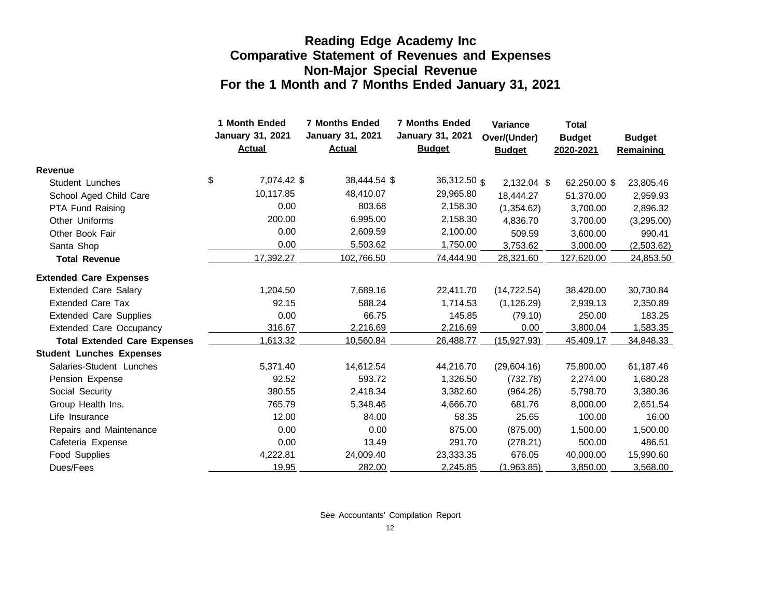#### **Reading Edge Academy Inc Comparative Statement of Revenues and Expenses Non-Major Special Revenue For the 1 Month and 7 Months Ended January 31, 2021**

|                                     | 1 Month Ended<br><b>January 31, 2021</b><br><b>Actual</b> |             | <b>7 Months Ended</b><br><b>January 31, 2021</b><br><b>Actual</b> | <b>7 Months Ended</b><br><b>January 31, 2021</b><br><b>Budget</b> | <b>Variance</b><br>Over/(Under)<br><b>Budget</b> | <b>Total</b><br><b>Budget</b><br>2020-2021 | <b>Budget</b><br><b>Remaining</b> |
|-------------------------------------|-----------------------------------------------------------|-------------|-------------------------------------------------------------------|-------------------------------------------------------------------|--------------------------------------------------|--------------------------------------------|-----------------------------------|
| <b>Revenue</b>                      |                                                           |             |                                                                   |                                                                   |                                                  |                                            |                                   |
| <b>Student Lunches</b>              | \$                                                        | 7,074.42 \$ | 38,444.54 \$                                                      | $36,312.50$ \$                                                    | 2,132.04 \$                                      | 62,250.00 \$                               | 23,805.46                         |
| School Aged Child Care              |                                                           | 10,117.85   | 48,410.07                                                         | 29,965.80                                                         | 18,444.27                                        | 51,370.00                                  | 2,959.93                          |
| PTA Fund Raising                    |                                                           | 0.00        | 803.68                                                            | 2,158.30                                                          | (1,354.62)                                       | 3,700.00                                   | 2,896.32                          |
| Other Uniforms                      |                                                           | 200.00      | 6,995.00                                                          | 2,158.30                                                          | 4,836.70                                         | 3,700.00                                   | (3,295.00)                        |
| Other Book Fair                     |                                                           | 0.00        | 2,609.59                                                          | 2,100.00                                                          | 509.59                                           | 3,600.00                                   | 990.41                            |
| Santa Shop                          |                                                           | 0.00        | 5,503.62                                                          | 1,750.00                                                          | 3,753.62                                         | 3,000.00                                   | (2,503.62)                        |
| <b>Total Revenue</b>                |                                                           | 17,392.27   | 102,766.50                                                        | 74,444.90                                                         | 28,321.60                                        | 127,620.00                                 | 24,853.50                         |
| <b>Extended Care Expenses</b>       |                                                           |             |                                                                   |                                                                   |                                                  |                                            |                                   |
| <b>Extended Care Salary</b>         |                                                           | 1,204.50    | 7,689.16                                                          | 22,411.70                                                         | (14, 722.54)                                     | 38,420.00                                  | 30,730.84                         |
| <b>Extended Care Tax</b>            |                                                           | 92.15       | 588.24                                                            | 1,714.53                                                          | (1, 126.29)                                      | 2,939.13                                   | 2,350.89                          |
| <b>Extended Care Supplies</b>       |                                                           | 0.00        | 66.75                                                             | 145.85                                                            | (79.10)                                          | 250.00                                     | 183.25                            |
| <b>Extended Care Occupancy</b>      |                                                           | 316.67      | 2,216.69                                                          | 2,216.69                                                          | 0.00                                             | 3,800.04                                   | 1,583.35                          |
| <b>Total Extended Care Expenses</b> |                                                           | 1,613.32    | 10,560.84                                                         | 26,488.77                                                         | (15, 927.93)                                     | 45,409.17                                  | 34,848.33                         |
| <b>Student Lunches Expenses</b>     |                                                           |             |                                                                   |                                                                   |                                                  |                                            |                                   |
| Salaries-Student Lunches            |                                                           | 5,371.40    | 14,612.54                                                         | 44,216.70                                                         | (29,604.16)                                      | 75,800.00                                  | 61,187.46                         |
| Pension Expense                     |                                                           | 92.52       | 593.72                                                            | 1,326.50                                                          | (732.78)                                         | 2,274.00                                   | 1,680.28                          |
| Social Security                     |                                                           | 380.55      | 2,418.34                                                          | 3,382.60                                                          | (964.26)                                         | 5,798.70                                   | 3,380.36                          |
| Group Health Ins.                   |                                                           | 765.79      | 5,348.46                                                          | 4,666.70                                                          | 681.76                                           | 8,000.00                                   | 2,651.54                          |
| Life Insurance                      |                                                           | 12.00       | 84.00                                                             | 58.35                                                             | 25.65                                            | 100.00                                     | 16.00                             |
| Repairs and Maintenance             |                                                           | 0.00        | 0.00                                                              | 875.00                                                            | (875.00)                                         | 1,500.00                                   | 1,500.00                          |
| Cafeteria Expense                   |                                                           | 0.00        | 13.49                                                             | 291.70                                                            | (278.21)                                         | 500.00                                     | 486.51                            |
| Food Supplies                       |                                                           | 4,222.81    | 24,009.40                                                         | 23,333.35                                                         | 676.05                                           | 40,000.00                                  | 15,990.60                         |
| Dues/Fees                           |                                                           | 19.95       | 282.00                                                            | 2,245.85                                                          | (1,963.85)                                       | 3,850.00                                   | 3,568.00                          |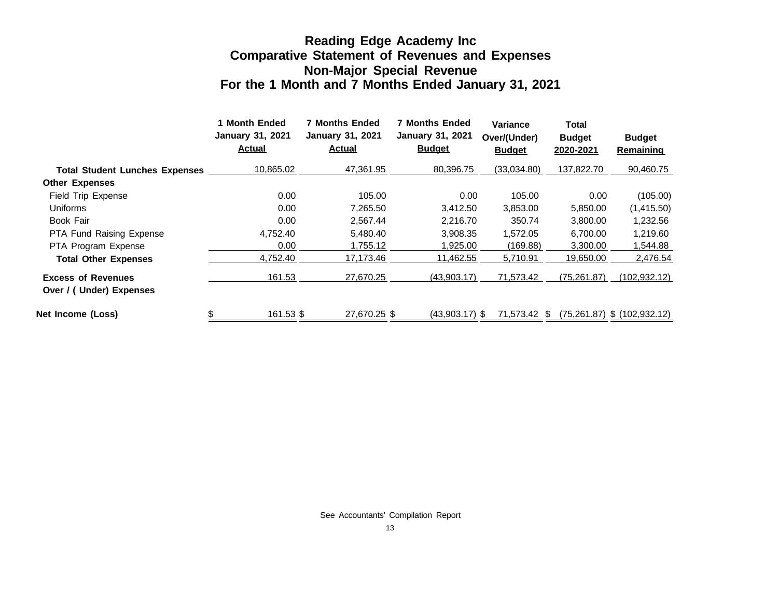#### **Reading Edge Academy Inc Comparative Statement of Revenues and Expenses Non-Major Special Revenue For the 1 Month and 7 Months Ended January 31, 2021**

|                                                      | <b>Month Ended</b><br><b>January 31, 2021</b><br><b>Actual</b> | <b>7 Months Ended</b><br><b>January 31, 2021</b><br><b>Actual</b> | <b>7 Months Ended</b><br><b>January 31, 2021</b><br><b>Budget</b> | <b>Variance</b><br>Over/(Under)<br><b>Budget</b> | <b>Total</b><br><b>Budget</b><br>2020-2021 | <b>Budget</b><br><b>Remaining</b> |
|------------------------------------------------------|----------------------------------------------------------------|-------------------------------------------------------------------|-------------------------------------------------------------------|--------------------------------------------------|--------------------------------------------|-----------------------------------|
| <b>Total Student Lunches Expenses</b>                | 10,865.02                                                      | 47,361.95                                                         | 80,396.75                                                         | (33,034.80)                                      | 137,822.70                                 | 90,460.75                         |
| <b>Other Expenses</b>                                |                                                                |                                                                   |                                                                   |                                                  |                                            |                                   |
| Field Trip Expense                                   | 0.00                                                           | 105.00                                                            | 0.00                                                              | 105.00                                           | 0.00                                       | (105.00)                          |
| Uniforms                                             | 0.00                                                           | 7,265.50                                                          | 3,412.50                                                          | 3,853.00                                         | 5,850.00                                   | (1,415.50)                        |
| Book Fair                                            | 0.00                                                           | 2,567.44                                                          | 2,216.70                                                          | 350.74                                           | 3,800.00                                   | 1,232.56                          |
| <b>PTA Fund Raising Expense</b>                      | 4.752.40                                                       | 5.480.40                                                          | 3,908.35                                                          | 1.572.05                                         | 6.700.00                                   | 1,219.60                          |
| PTA Program Expense                                  | 0.00                                                           | 1,755.12                                                          | 1,925.00                                                          | (169.88)                                         | 3,300.00                                   | 1,544.88                          |
| <b>Total Other Expenses</b>                          | 4,752.40                                                       | 17,173.46                                                         | 11,462.55                                                         | 5,710.91                                         | 19,650.00                                  | 2,476.54                          |
| <b>Excess of Revenues</b><br>Over / (Under) Expenses | 161.53                                                         | 27.670.25                                                         | (43,903.17)                                                       | 71,573.42                                        | (75, 261.87)                               | (102, 932.12)                     |
| Net Income (Loss)                                    | \$<br>161.53 \$                                                | 27.670.25 \$                                                      | (43.903.17) \$                                                    | 71.573.42 \$                                     |                                            | $(75,261.87)$ \$ $(102,932.12)$   |